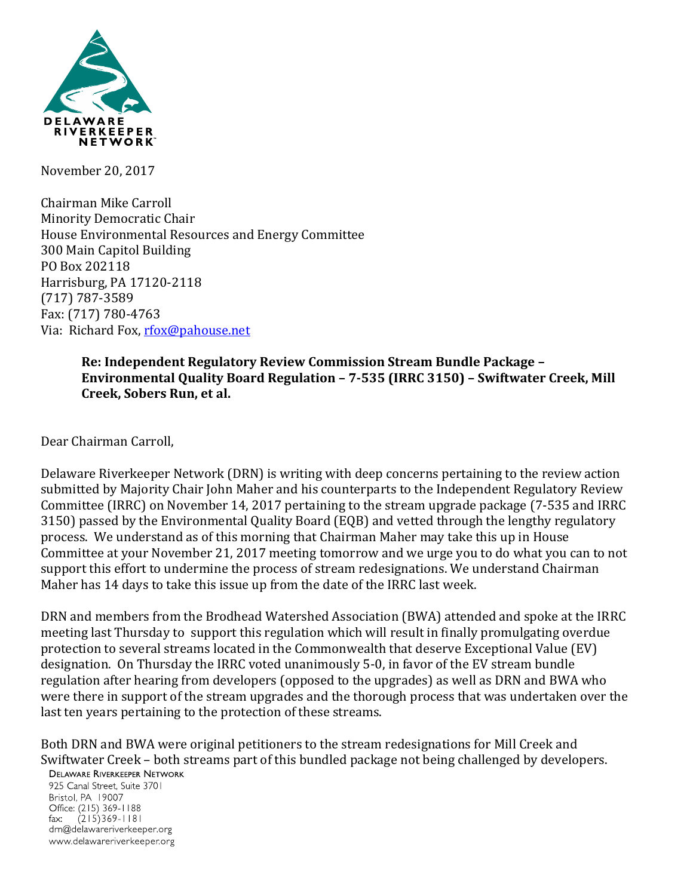

November 20, 2017

Chairman Mike Carroll Minority Democratic Chair House Environmental Resources and Energy Committee 300 Main Capitol Building PO Box 202118 Harrisburg, PA 17120-2118 (717) 787-3589 Fax: (717) 780-4763 Via: Richard Fox, [rfox@pahouse.net](mailto:rfox@pahouse.net)

## **Re: Independent Regulatory Review Commission Stream Bundle Package – Environmental Quality Board Regulation – 7-535 (IRRC 3150) – Swiftwater Creek, Mill Creek, Sobers Run, et al.**

Dear Chairman Carroll,

Delaware Riverkeeper Network (DRN) is writing with deep concerns pertaining to the review action submitted by Majority Chair John Maher and his counterparts to the Independent Regulatory Review Committee (IRRC) on November 14, 2017 pertaining to the stream upgrade package (7-535 and IRRC 3150) passed by the Environmental Quality Board (EQB) and vetted through the lengthy regulatory process. We understand as of this morning that Chairman Maher may take this up in House Committee at your November 21, 2017 meeting tomorrow and we urge you to do what you can to not support this effort to undermine the process of stream redesignations. We understand Chairman Maher has 14 days to take this issue up from the date of the IRRC last week.

DRN and members from the Brodhead Watershed Association (BWA) attended and spoke at the IRRC meeting last Thursday to support this regulation which will result in finally promulgating overdue protection to several streams located in the Commonwealth that deserve Exceptional Value (EV) designation. On Thursday the IRRC voted unanimously 5-0, in favor of the EV stream bundle regulation after hearing from developers (opposed to the upgrades) as well as DRN and BWA who were there in support of the stream upgrades and the thorough process that was undertaken over the last ten years pertaining to the protection of these streams.

Both DRN and BWA were original petitioners to the stream redesignations for Mill Creek and Swiftwater Creek – both streams part of this bundled package not being challenged by developers. **DELAWARE RIVERKEEPER NETWORK** 

925 Canal Street, Suite 3701 Bristol, PA 19007 Office: (215) 369-1188 fax:  $(215)369 - 1181$ drn@delawareriverkeeper.org www.delawareriverkeeper.org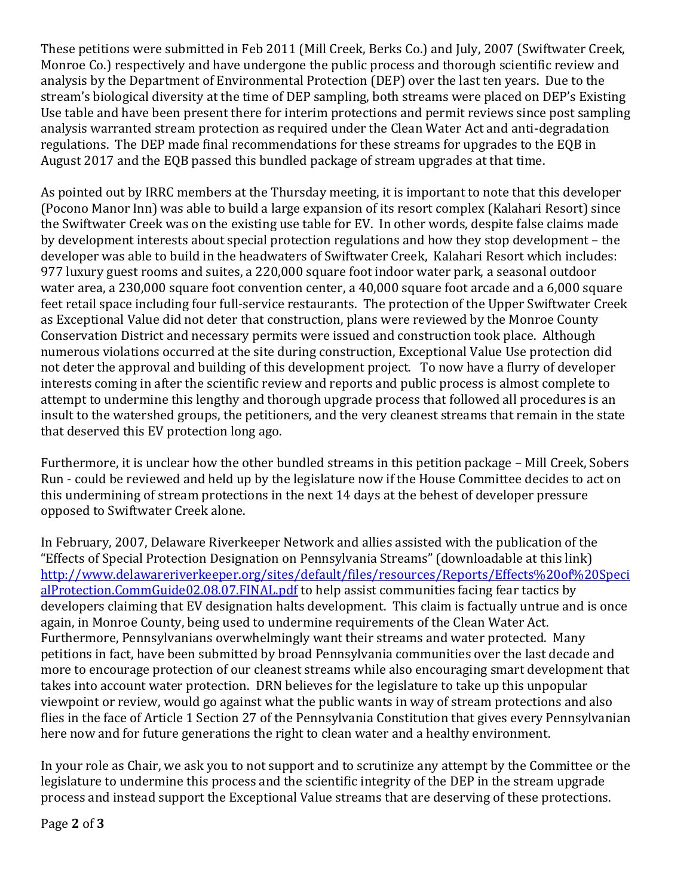These petitions were submitted in Feb 2011 (Mill Creek, Berks Co.) and July, 2007 (Swiftwater Creek, Monroe Co.) respectively and have undergone the public process and thorough scientific review and analysis by the Department of Environmental Protection (DEP) over the last ten years. Due to the stream's biological diversity at the time of DEP sampling, both streams were placed on DEP's Existing Use table and have been present there for interim protections and permit reviews since post sampling analysis warranted stream protection as required under the Clean Water Act and anti-degradation regulations. The DEP made final recommendations for these streams for upgrades to the EQB in August 2017 and the EQB passed this bundled package of stream upgrades at that time.

As pointed out by IRRC members at the Thursday meeting, it is important to note that this developer (Pocono Manor Inn) was able to build a large expansion of its resort complex (Kalahari Resort) since the Swiftwater Creek was on the existing use table for EV. In other words, despite false claims made by development interests about special protection regulations and how they stop development – the developer was able to build in the headwaters of Swiftwater Creek, Kalahari Resort which includes: 977 luxury guest rooms and suites, a 220,000 square foot indoor water park, a seasonal outdoor water area, a 230,000 square foot convention center, a 40,000 square foot arcade and a 6,000 square feet retail space including four full-service restaurants. The protection of the Upper Swiftwater Creek as Exceptional Value did not deter that construction, plans were reviewed by the Monroe County Conservation District and necessary permits were issued and construction took place. Although numerous violations occurred at the site during construction, Exceptional Value Use protection did not deter the approval and building of this development project. To now have a flurry of developer interests coming in after the scientific review and reports and public process is almost complete to attempt to undermine this lengthy and thorough upgrade process that followed all procedures is an insult to the watershed groups, the petitioners, and the very cleanest streams that remain in the state that deserved this EV protection long ago.

Furthermore, it is unclear how the other bundled streams in this petition package – Mill Creek, Sobers Run - could be reviewed and held up by the legislature now if the House Committee decides to act on this undermining of stream protections in the next 14 days at the behest of developer pressure opposed to Swiftwater Creek alone.

In February, 2007, Delaware Riverkeeper Network and allies assisted with the publication of the "Effects of Special Protection Designation on Pennsylvania Streams" (downloadable at this link) [http://www.delawareriverkeeper.org/sites/default/files/resources/Reports/Effects%20of%20Speci](http://www.delawareriverkeeper.org/sites/default/files/resources/Reports/Effects%20of%20SpecialProtection.CommGuide02.08.07.FINAL.pdf) [alProtection.CommGuide02.08.07.FINAL.pdf](http://www.delawareriverkeeper.org/sites/default/files/resources/Reports/Effects%20of%20SpecialProtection.CommGuide02.08.07.FINAL.pdf) to help assist communities facing fear tactics by developers claiming that EV designation halts development. This claim is factually untrue and is once again, in Monroe County, being used to undermine requirements of the Clean Water Act. Furthermore, Pennsylvanians overwhelmingly want their streams and water protected. Many petitions in fact, have been submitted by broad Pennsylvania communities over the last decade and more to encourage protection of our cleanest streams while also encouraging smart development that takes into account water protection. DRN believes for the legislature to take up this unpopular viewpoint or review, would go against what the public wants in way of stream protections and also flies in the face of Article 1 Section 27 of the Pennsylvania Constitution that gives every Pennsylvanian here now and for future generations the right to clean water and a healthy environment.

In your role as Chair, we ask you to not support and to scrutinize any attempt by the Committee or the legislature to undermine this process and the scientific integrity of the DEP in the stream upgrade process and instead support the Exceptional Value streams that are deserving of these protections.